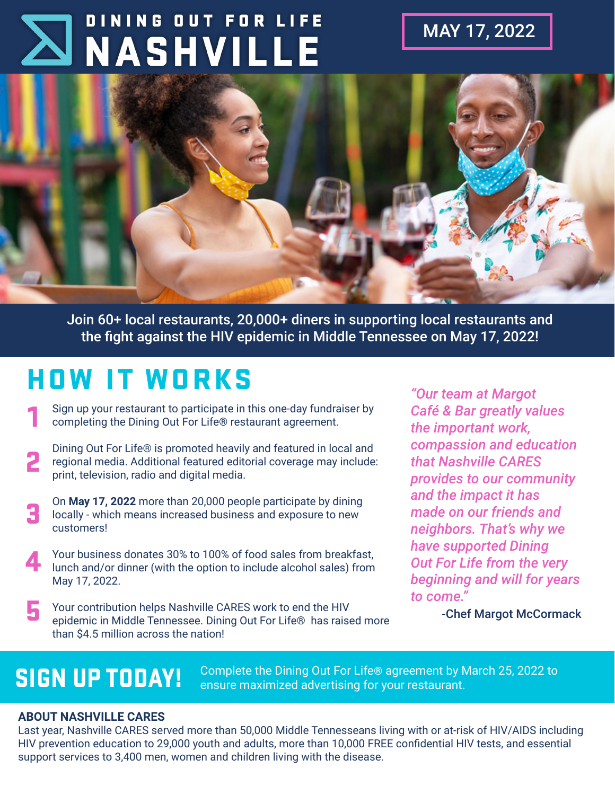# DINING OUT FOR LIFE **NASHVILLE**

MAY 17, 2022



Join 60+ local restaurants, 20,000+ diners in supporting local restaurants and the fight against the HIV epidemic in Middle Tennessee on May 17, 2022!

## HOW IT WORKS

1 Sign up your restaurant to participate in this one-day fundraiser by completing the Dining Out For Life® restaurant agreement.

- Dining Out For Life® is promoted heavily and featured in local and regional media. Additional featured editorial coverage may include: print, television, radio and digital media. 2
- On **May 17, 2022** more than 20,000 people participate by dining locally - which means increased business and exposure to new customers! 3
- Your business donates 30% to 100% of food sales from breakfast, lunch and/or dinner (with the option to include alcohol sales) from May 17, 2022. 4
- Your contribution helps Nashville CARES work to end the HIV epidemic in Middle Tennessee. Dining Out For Life® has raised more than \$4.5 million across the nation! 5

*"Our team at Margot Café & Bar greatly values the important work, compassion and education that Nashville CARES provides to our community and the impact it has made on our friends and neighbors. That's why we have supported Dining Out For Life from the very beginning and will for years to come."* 

-Chef Margot McCormack

SIGN UP TODAY! Complete the Dining Out For Life® agreement by March 25, 2022 to ensure maximized advertising for your restaurant.

#### **ABOUT NASHVILLE CARES**

Last year, Nashville CARES served more than 50,000 Middle Tennesseans living with or at-risk of HIV/AIDS including HIV prevention education to 29,000 youth and adults, more than 10,000 FREE confidential HIV tests, and essential support services to 3,400 men, women and children living with the disease.